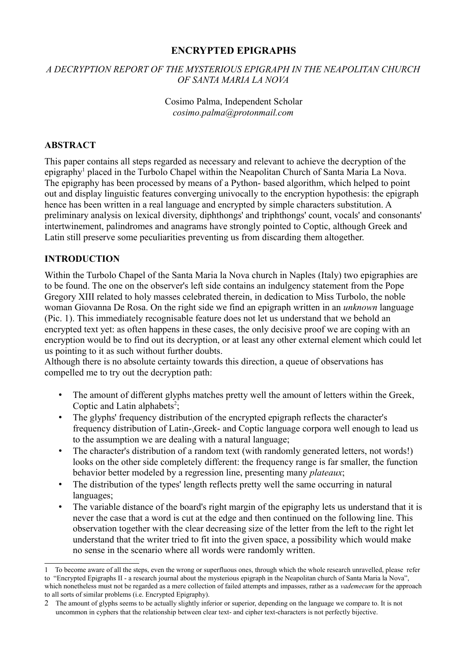#### **ENCRYPTED EPIGRAPHS**

#### *A DECRYPTION REPORT OF THE MYSTERIOUS EPIGRAPH IN THE NEAPOLITAN CHURCH OF SANTA MARIA LA NOVA*

#### Cosimo Palma, Independent Scholar *cosimo.palma@protonmail.com*

#### **ABSTRACT**

This paper contains all steps regarded as necessary and relevant to achieve the decryption of the epigraphy<sup>[1](#page-0-0)</sup> placed in the Turbolo Chapel within the Neapolitan Church of Santa Maria La Nova. The epigraphy has been processed by means of a Python- based algorithm, which helped to point out and display linguistic features converging univocally to the encryption hypothesis: the epigraph hence has been written in a real language and encrypted by simple characters substitution. A preliminary analysis on lexical diversity, diphthongs' and triphthongs' count, vocals' and consonants' intertwinement, palindromes and anagrams have strongly pointed to Coptic, although Greek and Latin still preserve some peculiarities preventing us from discarding them altogether.

#### **INTRODUCTION**

Within the Turbolo Chapel of the Santa Maria la Nova church in Naples (Italy) two epigraphies are to be found. The one on the observer's left side contains an indulgency statement from the Pope Gregory XIII related to holy masses celebrated therein, in dedication to Miss Turbolo, the noble woman Giovanna De Rosa. On the right side we find an epigraph written in an *unknown* language (Pic. 1). This immediately recognisable feature does not let us understand that we behold an encrypted text yet: as often happens in these cases, the only decisive proof we are coping with an encryption would be to find out its decryption, or at least any other external element which could let us pointing to it as such without further doubts.

Although there is no absolute certainty towards this direction, a queue of observations has compelled me to try out the decryption path:

- The amount of different glyphs matches pretty well the amount of letters within the Greek, Coptic and Latin alphabets<sup>[2](#page-0-1)</sup>;
- The glyphs' frequency distribution of the encrypted epigraph reflects the character's frequency distribution of Latin-,Greek- and Coptic language corpora well enough to lead us to the assumption we are dealing with a natural language;
- The character's distribution of a random text (with randomly generated letters, not words!) looks on the other side completely different: the frequency range is far smaller, the function behavior better modeled by a regression line, presenting many *plateaux*;
- The distribution of the types' length reflects pretty well the same occurring in natural languages;
- The variable distance of the board's right margin of the epigraphy lets us understand that it is never the case that a word is cut at the edge and then continued on the following line. This observation together with the clear decreasing size of the letter from the left to the right let understand that the writer tried to fit into the given space, a possibility which would make no sense in the scenario where all words were randomly written.

<span id="page-0-0"></span><sup>1</sup> To become aware of all the steps, even the wrong or superfluous ones, through which the whole research unravelled, please refer to "Encrypted Epigraphs II - a research journal about the mysterious epigraph in the Neapolitan church of Santa Maria la Nova", which nonetheless must not be regarded as a mere collection of failed attempts and impasses, rather as a *vademecum* for the approach to all sorts of similar problems (i.e. Encrypted Epigraphy).

<span id="page-0-1"></span><sup>2</sup> The amount of glyphs seems to be actually slightly inferior or superior, depending on the language we compare to. It is not uncommon in cyphers that the relationship between clear text- and cipher text-characters is not perfectly bijective.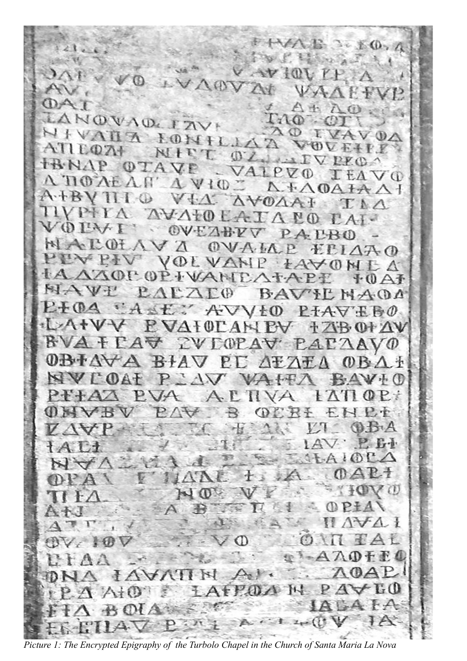$E \supseteq E(0, h)$  $\mathcal{D} \subseteq \mathcal{E}$  $1.6$  and  $1.4$  $AY1011$ TD. VAOVAt VA. NOVAD FAVE  $(1) - 2$  $AN$  $\tau$  $L_1$  (D)  $\mathcal{L}_{\mathcal{B}}$ VALA LONILJAA  $\Omega$ Œ  $\mathbb{O}$ VOU  $AT$  $1007$ MIT OZ LAIVPEC TRNAP OTAVE VALPVO  $L<sub>t</sub>$  $\vee$  (i)  $\Lambda$   $\Pi$  $\emptyset$  $\Lambda$ E $\Lambda$ NAVIOT **A. FAOATA AT** A.HBV  $-CD$ **AVOAAI**  $V+A$  $L\Lambda$  $11VP+1$ OLATANO  $A + -$ V<sub>O</sub>1  $AA$ OV  $1 + V$ V PAIR NAP OF VA OVAIA  $+1$  $\triangle A \triangle$ **LEABIA VOLVANP LAVONEA** AZOP OP I VANDATAP **TA**  $+A$ MAVI L'ALO BAVIL NAOA PIOA ASE AVVIO  $P+A \nabla E \nabla \Phi$ LAIVY PVAIOCANEY IZBOIAV **BVAFLAV ZVLOPAV LAI**  $\Delta$ AVO  $0B + \Delta \forall$ A BIAV PI  $0 B \Lambda$  $A+AF$  $\frac{1}{2}$ Ź MVI  $\sqrt{V}$  $\left( \cdot \right)$  $\mathbf{H}$  $V \rightarrow$  $V \wedge V$  $\frac{1}{2}$  $601$ 渎 P.T  $\pm$ VO OPIAN  $A \nB$ FULL  $A \vee A$  $AL$  $OV$ ΖO  $A$  $0 + E$  $(0A)$  $A VATINAP$ AFFOA  $PA$  $M_{\odot}$  $At0$  $A: 1.2 \times (1)$  $P: \mathcal{N}$ 

*Picture 1: The Encrypted Epigraphy of the Turbolo Chapel in the Church of Santa Maria La Nova*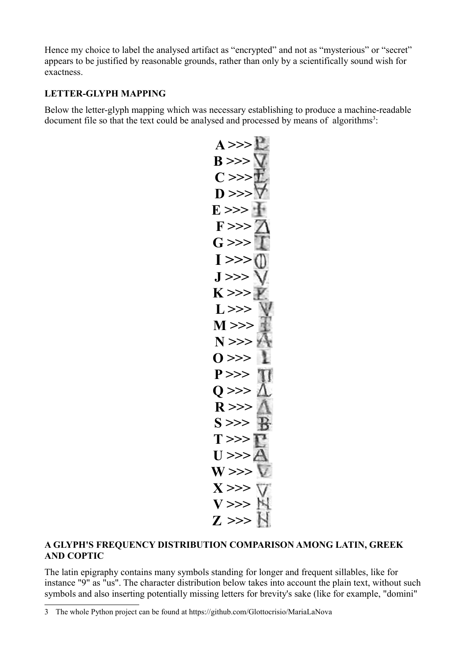Hence my choice to label the analysed artifact as "encrypted" and not as "mysterious" or "secret" appears to be justified by reasonable grounds, rather than only by a scientifically sound wish for exactness.

#### **LETTER-GLYPH MAPPING**

Below the letter-glyph mapping which was necessary establishing to produce a machine-readable document file so that the text could be analysed and processed by means of algorithms<sup>[3](#page-2-0)</sup>:

$$
\begin{array}{l} \text{A} \text{ } \text{B} \text{ } \text{C} \text{ } \text{D} \text{ } \text{E} \text{ } \text{F} \text{ } \text{A} \text{ } \text{A} \text{ } \text{A} \text{ } \text{A} \text{ } \text{A} \text{ } \text{A} \text{ } \text{A} \text{ } \text{A} \text{ } \text{A} \text{ } \text{A} \text{ } \text{A} \text{ } \text{A} \text{ } \text{A} \text{ } \text{A} \text{ } \text{A} \text{ } \text{A} \text{ } \text{A} \text{ } \text{A} \text{ } \text{A} \text{ } \text{A} \text{ } \text{A} \text{ } \text{A} \text{ } \text{A} \text{ } \text{A} \text{ } \text{A} \text{ } \text{A} \text{ } \text{A} \text{ } \text{A} \text{ } \text{A} \text{ } \text{A} \text{ } \text{A} \text{ } \text{A} \text{ } \text{A} \text{ } \text{A} \text{ } \text{A} \text{ } \text{A} \text{ } \text{A} \text{ } \text{A} \text{ } \text{A} \text{ } \text{A} \text{ } \text{A} \text{ } \text{A} \text{ } \text{A} \text{ } \text{A} \text{ } \text{A} \text{ } \text{A} \text{ } \text{A} \text{ } \text{A} \text{ } \text{A} \text{ } \text{A} \text{ } \text{A} \text{ } \text{A} \text{ } \text{A} \text{ } \text{A} \text{ } \text{A} \text{ } \text{A} \text{ } \text{A} \text{ } \text{A} \text{ } \text{A} \text{ } \text{A} \text{ } \text{A} \text{ } \text{A} \text{ } \text{A} \text{ } \text{A} \text{ } \text{A} \text{ } \text{A} \text{ } \text{A} \text{ } \text{A} \text{ } \text{A} \text{ } \text{A} \text{ } \text{A} \text{ } \text{A} \text{ } \text{A} \text{ } \text{A} \text{ } \text{A} \text{ } \text{A} \text{ } \text{A} \text{ } \text{A} \
$$

#### **A GLYPH'S FREQUENCY DISTRIBUTION COMPARISON AMONG LATIN, GREEK AND COPTIC**

The latin epigraphy contains many symbols standing for longer and frequent sillables, like for instance "9" as "us". The character distribution below takes into account the plain text, without such symbols and also inserting potentially missing letters for brevity's sake (like for example, "domini"

<span id="page-2-0"></span><sup>3</sup> The whole Python project can be found at https://github.com/Glottocrisio/MariaLaNova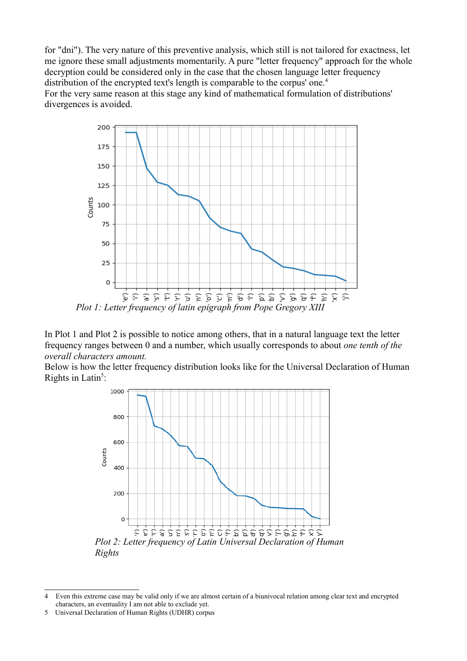for "dni"). The very nature of this preventive analysis, which still is not tailored for exactness, let me ignore these small adjustments momentarily. A pure "letter frequency" approach for the whole decryption could be considered only in the case that the chosen language letter frequency distribution of the encrypted text's length is comparable to the corpus' one.<sup>[4](#page-3-0)</sup> For the very same reason at this stage any kind of mathematical formulation of distributions' divergences is avoided.



In Plot 1 and Plot 2 is possible to notice among others, that in a natural language text the letter frequency ranges between 0 and a number, which usually corresponds to about *one tenth of the overall characters amount.*

Below is how the letter frequency distribution looks like for the Universal Declaration of Human Rights in Latin<sup>[5](#page-3-1)</sup>:



<span id="page-3-0"></span><sup>4</sup> Even this extreme case may be valid only if we are almost certain of a biunivocal relation among clear text and encrypted characters, an eventuality I am not able to exclude yet.

<span id="page-3-1"></span><sup>5</sup> Universal Declaration of Human Rights (UDHR) corpus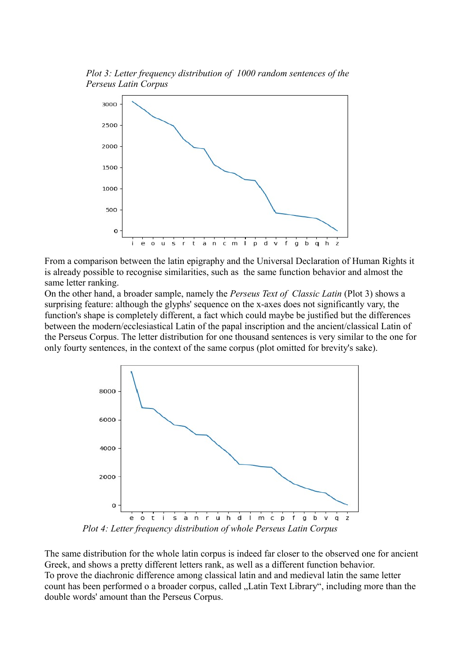*Plot 3: Letter frequency distribution of 1000 random sentences of the Perseus Latin Corpus* 



From a comparison between the latin epigraphy and the Universal Declaration of Human Rights it is already possible to recognise similarities, such as the same function behavior and almost the same letter ranking.

On the other hand, a broader sample, namely the *Perseus Text of Classic Latin* (Plot 3) shows a surprising feature: although the glyphs' sequence on the x-axes does not significantly vary, the function's shape is completely different, a fact which could maybe be justified but the differences between the modern/ecclesiastical Latin of the papal inscription and the ancient/classical Latin of the Perseus Corpus. The letter distribution for one thousand sentences is very similar to the one for only fourty sentences, in the context of the same corpus (plot omitted for brevity's sake).



*Plot 4: Letter frequency distribution of whole Perseus Latin Corpus*

The same distribution for the whole latin corpus is indeed far closer to the observed one for ancient Greek, and shows a pretty different letters rank, as well as a different function behavior. To prove the diachronic difference among classical latin and and medieval latin the same letter count has been performed o a broader corpus, called "Latin Text Library", including more than the double words' amount than the Perseus Corpus.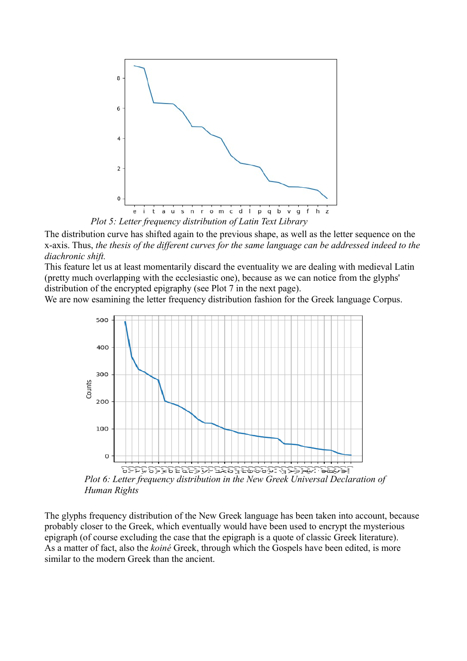

*Plot 5: Letter frequency distribution of Latin Text Library*

The distribution curve has shifted again to the previous shape, as well as the letter sequence on the x-axis. Thus, *the thesis of the different curves for the same language can be addressed indeed to the diachronic shift.*

This feature let us at least momentarily discard the eventuality we are dealing with medieval Latin (pretty much overlapping with the ecclesiastic one), because as we can notice from the glyphs' distribution of the encrypted epigraphy (see Plot 7 in the next page).

We are now esamining the letter frequency distribution fashion for the Greek language Corpus.



*Plot 6: Letter frequency distribution in the New Greek Universal Declaration of Human Rights*

The glyphs frequency distribution of the New Greek language has been taken into account, because probably closer to the Greek, which eventually would have been used to encrypt the mysterious epigraph (of course excluding the case that the epigraph is a quote of classic Greek literature). As a matter of fact, also the *koiné* Greek, through which the Gospels have been edited, is more similar to the modern Greek than the ancient.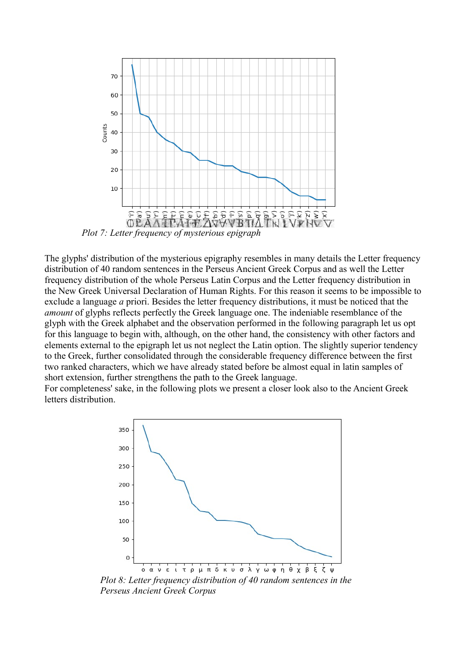

The glyphs' distribution of the mysterious epigraphy resembles in many details the Letter frequency distribution of 40 random sentences in the Perseus Ancient Greek Corpus and as well the Letter frequency distribution of the whole Perseus Latin Corpus and the Letter frequency distribution in the New Greek Universal Declaration of Human Rights. For this reason it seems to be impossible to exclude a language *a* priori. Besides the letter frequency distributions, it must be noticed that the *amount* of glyphs reflects perfectly the Greek language one. The indeniable resemblance of the glyph with the Greek alphabet and the observation performed in the following paragraph let us opt for this language to begin with, although, on the other hand, the consistency with other factors and elements external to the epigraph let us not neglect the Latin option. The slightly superior tendency to the Greek, further consolidated through the considerable frequency difference between the first two ranked characters, which we have already stated before be almost equal in latin samples of short extension, further strengthens the path to the Greek language.

For completeness' sake, in the following plots we present a closer look also to the Ancient Greek letters distribution.



*Plot 8: Letter frequency distribution of 40 random sentences in the Perseus Ancient Greek Corpus*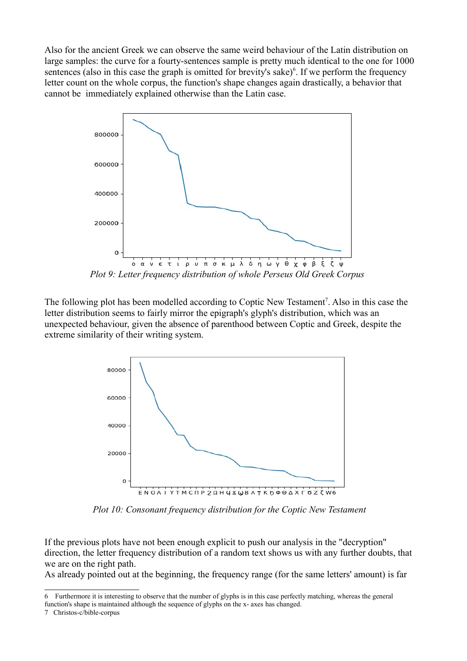Also for the ancient Greek we can observe the same weird behaviour of the Latin distribution on large samples: the curve for a fourty-sentences sample is pretty much identical to the one for 1000 sentences (also in this case the graph is omitted for brevity's sake) $6$ . If we perform the frequency letter count on the whole corpus, the function's shape changes again drastically, a behavior that cannot be immediately explained otherwise than the Latin case.



*Plot 9: Letter frequency distribution of whole Perseus Old Greek Corpus*

The following plot has been modelled according to Coptic New Testament<sup>[7](#page-7-1)</sup>. Also in this case the letter distribution seems to fairly mirror the epigraph's glyph's distribution, which was an unexpected behaviour, given the absence of parenthood between Coptic and Greek, despite the extreme similarity of their writing system.



*Plot 10: Consonant frequency distribution for the Coptic New Testament*

If the previous plots have not been enough explicit to push our analysis in the "decryption" direction, the letter frequency distribution of a random text shows us with any further doubts, that we are on the right path.

As already pointed out at the beginning, the frequency range (for the same letters' amount) is far

<span id="page-7-0"></span><sup>6</sup> Furthermore it is interesting to observe that the number of glyphs is in this case perfectly matching, whereas the general function's shape is maintained although the sequence of glyphs on the x- axes has changed.

<span id="page-7-1"></span><sup>7</sup> Christos-c/bible-corpus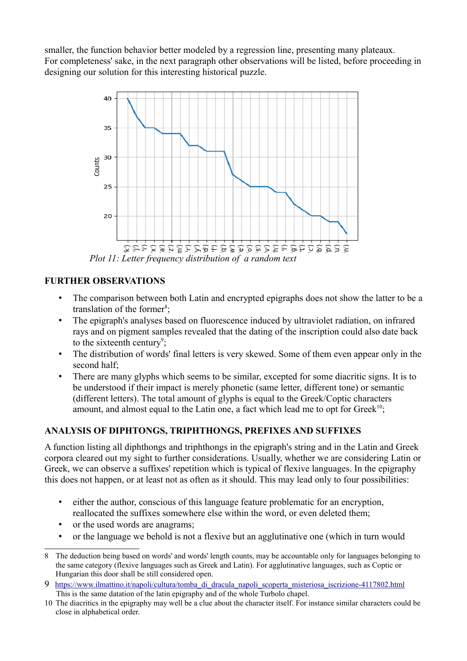smaller, the function behavior better modeled by a regression line, presenting many plateaux. For completeness' sake, in the next paragraph other observations will be listed, before proceeding in designing our solution for this interesting historical puzzle.



#### **FURTHER OBSERVATIONS**

- The comparison between both Latin and encrypted epigraphs does not show the latter to be a translation of the former<sup>[8](#page-8-0)</sup>;
- The epigraph's analyses based on fluorescence induced by ultraviolet radiation, on infrared rays and on pigment samples revealed that the dating of the inscription could also date back to the sixteenth century<sup>[9](#page-8-1)</sup>;
- The distribution of words' final letters is very skewed. Some of them even appear only in the second half;
- There are many glyphs which seems to be similar, excepted for some diacritic signs. It is to be understood if their impact is merely phonetic (same letter, different tone) or semantic (different letters). The total amount of glyphs is equal to the Greek/Coptic characters amount, and almost equal to the Latin one, a fact which lead me to opt for Greek<sup>[10](#page-8-2)</sup>;

# **ANALYSIS OF DIPHTONGS, TRIPHTHONGS, PREFIXES AND SUFFIXES**

A function listing all diphthongs and triphthongs in the epigraph's string and in the Latin and Greek corpora cleared out my sight to further considerations. Usually, whether we are considering Latin or Greek, we can observe a suffixes' repetition which is typical of flexive languages. In the epigraphy this does not happen, or at least not as often as it should. This may lead only to four possibilities:

- either the author, conscious of this language feature problematic for an encryption, reallocated the suffixes somewhere else within the word, or even deleted them;
- or the used words are anagrams;
- or the language we behold is not a flexive but an agglutinative one (which in turn would

<span id="page-8-0"></span><sup>8</sup> The deduction being based on words' and words' length counts, may be accountable only for languages belonging to the same category (flexive languages such as Greek and Latin). For agglutinative languages, such as Coptic or Hungarian this door shall be still considered open.

<span id="page-8-1"></span><sup>9</sup> [https://www.ilmattino.it/napoli/cultura/tomba\\_di\\_dracula\\_napoli\\_scoperta\\_misteriosa\\_iscrizione-4117802.html](https://www.ilmattino.it/napoli/cultura/tomba_di_dracula_napoli_scoperta_misteriosa_iscrizione-4117802.html) This is the same datation of the latin epigraphy and of the whole Turbolo chapel.

<span id="page-8-2"></span><sup>10</sup> The diacritics in the epigraphy may well be a clue about the character itself. For instance similar characters could be close in alphabetical order.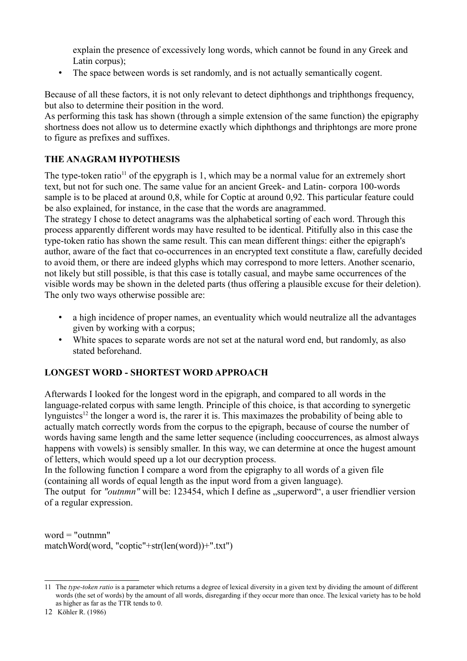explain the presence of excessively long words, which cannot be found in any Greek and Latin corpus);

• The space between words is set randomly, and is not actually semantically cogent.

Because of all these factors, it is not only relevant to detect diphthongs and triphthongs frequency, but also to determine their position in the word.

As performing this task has shown (through a simple extension of the same function) the epigraphy shortness does not allow us to determine exactly which diphthongs and thriphtongs are more prone to figure as prefixes and suffixes.

# **THE ANAGRAM HYPOTHESIS**

The type-token ratio<sup>[11](#page-9-0)</sup> of the epygraph is 1, which may be a normal value for an extremely short text, but not for such one. The same value for an ancient Greek- and Latin- corpora 100-words sample is to be placed at around 0,8, while for Coptic at around 0,92. This particular feature could be also explained, for instance, in the case that the words are anagrammed.

The strategy I chose to detect anagrams was the alphabetical sorting of each word. Through this process apparently different words may have resulted to be identical. Pitifully also in this case the type-token ratio has shown the same result. This can mean different things: either the epigraph's author, aware of the fact that co-occurrences in an encrypted text constitute a flaw, carefully decided to avoid them, or there are indeed glyphs which may correspond to more letters. Another scenario, not likely but still possible, is that this case is totally casual, and maybe same occurrences of the visible words may be shown in the deleted parts (thus offering a plausible excuse for their deletion). The only two ways otherwise possible are:

- a high incidence of proper names, an eventuality which would neutralize all the advantages given by working with a corpus;
- White spaces to separate words are not set at the natural word end, but randomly, as also stated beforehand.

#### **LONGEST WORD - SHORTEST WORD APPROACH**

Afterwards I looked for the longest word in the epigraph, and compared to all words in the language-related corpus with same length. Principle of this choice, is that according to synergetic lynguistes<sup>[12](#page-9-1)</sup> the longer a word is, the rarer it is. This maximazes the probability of being able to actually match correctly words from the corpus to the epigraph, because of course the number of words having same length and the same letter sequence (including cooccurrences, as almost always happens with vowels) is sensibly smaller. In this way, we can determine at once the hugest amount of letters, which would speed up a lot our decryption process.

In the following function I compare a word from the epigraphy to all words of a given file (containing all words of equal length as the input word from a given language).

The output for "outnmn" will be: 123454, which I define as "superword", a user friendlier version of a regular expression.

word  $=$  "outnmn" matchWord(word, "coptic"+str(len(word))+".txt")

<span id="page-9-0"></span><sup>11</sup> The *type-token ratio* is a parameter which returns a degree of lexical diversity in a given text by dividing the amount of different words (the set of words) by the amount of all words, disregarding if they occur more than once. The lexical variety has to be hold as higher as far as the TTR tends to 0.

<span id="page-9-1"></span><sup>12</sup> Köhler R. (1986)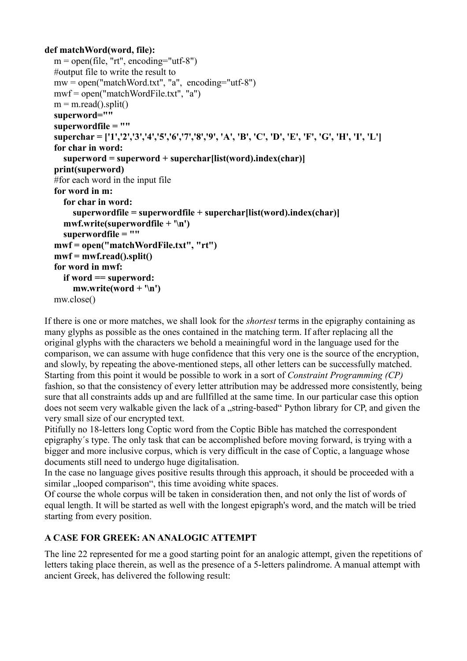```
def matchWord(word, file):
  m = open(file, "rt", encoding="utf-8") #output file to write the result to
  mw = open("matchWord.txt", "a", encoding="utf-8") mwf = open("matchWordFile.txt", "a")
  m = m.read().split() superword=""
   superwordfile = ""
   superchar = ['1','2','3','4','5','6','7','8','9', 'A', 'B', 'C', 'D', 'E', 'F', 'G', 'H', 'I', 'L']
   for char in word:
      superword = superword + superchar[list(word).index(char)]
   print(superword)
   #for each word in the input file
   for word in m:
      for char in word:
         superwordfile = superwordfile + superchar[list(word).index(char)]
      mwf.write(superwordfile + '\n')
      superwordfile = ""
   mwf = open("matchWordFile.txt", "rt")
  \mathbf{m}\mathbf{w}\mathbf{f} = \mathbf{m}\mathbf{w}\mathbf{f}.\mathbf{read}().\mathbf{split}() for word in mwf:
      if word == superword:
         mw.write(word + '\n')
   mw.close()
```
If there is one or more matches, we shall look for the *shortest* terms in the epigraphy containing as many glyphs as possible as the ones contained in the matching term. If after replacing all the original glyphs with the characters we behold a meainingful word in the language used for the comparison, we can assume with huge confidence that this very one is the source of the encryption, and slowly, by repeating the above-mentioned steps, all other letters can be successfully matched. Starting from this point it would be possible to work in a sort of *Constraint Programming (CP)*  fashion, so that the consistency of every letter attribution may be addressed more consistently, being sure that all constraints adds up and are fullfilled at the same time. In our particular case this option does not seem very walkable given the lack of a "string-based" Python library for CP, and given the very small size of our encrypted text.

Pitifully no 18-letters long Coptic word from the Coptic Bible has matched the correspondent epigraphy´s type. The only task that can be accomplished before moving forward, is trying with a bigger and more inclusive corpus, which is very difficult in the case of Coptic, a language whose documents still need to undergo huge digitalisation.

In the case no language gives positive results through this approach, it should be proceeded with a similar , looped comparison", this time avoiding white spaces.

Of course the whole corpus will be taken in consideration then, and not only the list of words of equal length. It will be started as well with the longest epigraph's word, and the match will be tried starting from every position.

# **A CASE FOR GREEK: AN ANALOGIC ATTEMPT**

The line 22 represented for me a good starting point for an analogic attempt, given the repetitions of letters taking place therein, as well as the presence of a 5-letters palindrome. A manual attempt with ancient Greek, has delivered the following result: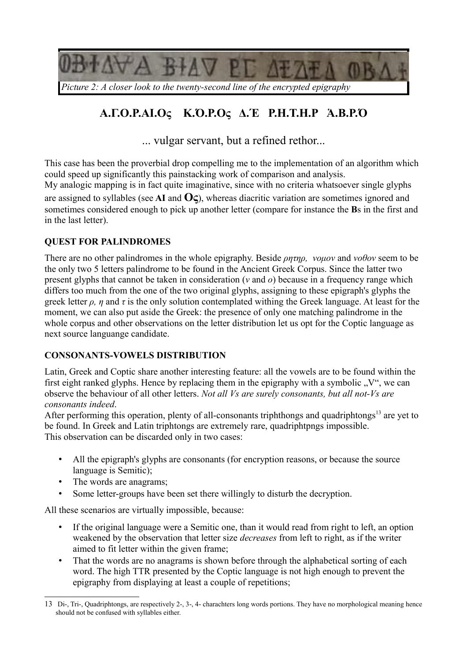

# *Picture 2: A closer look to the twenty-second line of the encrypted epigraphy*

# **Α.Γ.Ο.Ρ.ΑΙ.Ος Κ.Ό.Ρ.Ος Δ.Έ Ρ.Η.Τ.Η.Ρ Ἁ.Β.Ρ.Ό**

... vulgar servant, but a refined rethor...

This case has been the proverbial drop compelling me to the implementation of an algorithm which could speed up significantly this painstacking work of comparison and analysis.

My analogic mapping is in fact quite imaginative, since with no criteria whatsoever single glyphs are assigned to syllables (see **AI** and **Ος**), whereas diacritic variation are sometimes ignored and sometimes considered enough to pick up another letter (compare for instance the **B**s in the first and in the last letter).

# **QUEST FOR PALINDROMES**

There are no other palindromes in the whole epigraphy. Beside *ρητηρ, νομον* and *νοθον* seem to be the only two 5 letters palindrome to be found in the Ancient Greek Corpus. Since the latter two present glyphs that cannot be taken in consideration (*ν* and *ο*) because in a frequency range which differs too much from the one of the two original glyphs, assigning to these epigraph's glyphs the greek letter  $\rho$ ,  $\eta$  and  $\tau$  is the only solution contemplated withing the Greek language. At least for the moment, we can also put aside the Greek: the presence of only one matching palindrome in the whole corpus and other observations on the letter distribution let us opt for the Coptic language as next source languange candidate.

#### **CONSONANTS-VOWELS DISTRIBUTION**

Latin, Greek and Coptic share another interesting feature: all the vowels are to be found within the first eight ranked glyphs. Hence by replacing them in the epigraphy with a symbolic  $N''$ , we can observe the behaviour of all other letters. *Not all Vs are surely consonants, but all not-Vs are consonants indeed*.

After performing this operation, plenty of all-consonants triphthongs and quadriphtongs<sup>[13](#page-11-0)</sup> are yet to be found. In Greek and Latin triphtongs are extremely rare, quadriphtpngs impossible. This observation can be discarded only in two cases:

- All the epigraph's glyphs are consonants (for encryption reasons, or because the source language is Semitic);
- The words are anagrams;
- Some letter-groups have been set there willingly to disturb the decryption.

All these scenarios are virtually impossible, because:

- If the original language were a Semitic one, than it would read from right to left, an option weakened by the observation that letter size *decreases* from left to right, as if the writer aimed to fit letter within the given frame;
- That the words are no anagrams is shown before through the alphabetical sorting of each word. The high TTR presented by the Coptic language is not high enough to prevent the epigraphy from displaying at least a couple of repetitions;

<span id="page-11-0"></span><sup>13</sup> Di-, Tri-, Quadriphtongs, are respectively 2-, 3-, 4- charachters long words portions. They have no morphological meaning hence should not be confused with syllables either.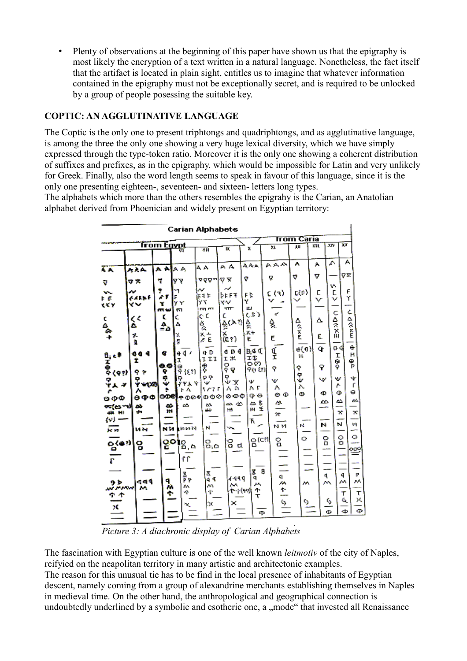• Plenty of observations at the beginning of this paper have shown us that the epigraphy is most likely the encryption of a text written in a natural language. Nonetheless, the fact itself that the artifact is located in plain sight, entitles us to imagine that whatever information contained in the epigraphy must not be exceptionally secret, and is required to be unlocked by a group of people posessing the suitable key.

# **COPTIC: AN AGGLUTINATIVE LANGUAGE**

The Coptic is the only one to present triphtongs and quadriphtongs, and as agglutinative language, is among the three the only one showing a very huge lexical diversity, which we have simply expressed through the type-token ratio. Moreover it is the only one showing a coherent distribution of suffixes and prefixes, as in the epigraphy, which would be impossible for Latin and very unlikely for Greek. Finally, also the word length seems to speak in favour of this language, since it is the only one presenting eighteen-, seventeen- and sixteen- letters long types.

The alphabets which more than the others resembles the epigrahy is the Carian, an Anatolian alphabet derived from Phoenician and widely present on Egyptian territory:

|                                                                    |                              |                         |                                            | <b>Carian Alphabets</b>                    |                                                       |                                        |                                        |                                 |                    |                                         |                                                              |
|--------------------------------------------------------------------|------------------------------|-------------------------|--------------------------------------------|--------------------------------------------|-------------------------------------------------------|----------------------------------------|----------------------------------------|---------------------------------|--------------------|-----------------------------------------|--------------------------------------------------------------|
|                                                                    |                              |                         |                                            |                                            |                                                       |                                        |                                        | Trom Caria                      |                    |                                         |                                                              |
|                                                                    |                              | <b>from Eqvot</b>       |                                            | ज्य                                        | <b>b</b>                                              | x                                      | 'n                                     | 皿                               | प्रता              | XN.                                     | īν                                                           |
| Ăк                                                                 | سمدير                        | Α÷                      | la a                                       | АA                                         | ΑA                                                    | A. en                                  | AAA                                    | А                               | А                  | Λ                                       | А                                                            |
| v                                                                  | マ文                           | ņ                       | VΥ                                         | তত্ত্ব                                     | v x                                                   | v                                      | R                                      | ۰                               | v                  | v.                                      | V×                                                           |
| v.<br>ΡF<br>err                                                    | w<br>64111<br>v.             | ۴<br>×۳<br>Y<br>mw      | ۰,<br>F<br>y٧<br>m                         | t t t<br>Ÿ۲<br><b>Call 1979</b>            | $\tilde{\phantom{a}}$<br>≱t F∓<br>xbor.<br><b>TTT</b> | FK.<br>٧<br>μ.                         | ( ( 1 )<br>v                           | E(F)<br>$\checkmark$            | С<br>v             | L<br>v                                  | F<br>Y                                                       |
| $48^{\circ}$                                                       | ζ¢<br>۵<br>7.<br>ï.          | τ<br>۵.                 | Ċ<br>Δ<br>X<br>ş                           | еC<br>負<br>着                               | c<br>ङू(≻१<br>。<br>(er)                               | ሪደን<br>슻<br>æ<br>E.                    | $\mathcal{A}^{\mathcal{A}}$<br>٩.<br>Ε | proper                          | Δ<br>Ē.            | ç<br>人名法加                               | ċ<br>mx >>D                                                  |
| $\frac{a_1}{x}$<br>$\frac{a_2}{x}$<br>$\frac{a_3}{x}$<br>ም<br>ዋል ም | 66 4<br>Ť<br>. .<br>ະ⊷ທ<br>Λ | e<br>es<br>۰<br>ę.<br>۶ | 44<br>ū<br>ω<br>9 (31)<br>ቅ<br>ሃሃራ የ<br>۴Ā | q D<br><b>TI</b><br>₹,<br>o o<br>w<br>1979 | 6 D 4<br>τ×.<br>ខុត្<br>₹Ψ<br>631                     | h,s C<br>II.<br>OV<br>90 U)<br>Ψ<br>٨Γ | Ţ<br>٩<br>v.<br>٨                      | a(a)<br>н<br>۰<br>۹,<br>λ.<br>Ø | ٩<br>Ÿ<br>w<br>¢D. | ው ቀ<br>r<br>G<br>Ŷ<br>v<br>٨            | ė<br>в<br>۴<br>÷<br>٢<br>ө<br>Ф                              |
| ອວີ<br>কৰে শা<br>48.80<br>WF<br>je m                               | 990<br>zb.<br>÷<br>Met       | ooel<br>œ<br>H.<br>мM   | ቀወ⊘ቀ<br>త<br>la 1431                       | 000<br>eó.<br>₩<br>N                       | ଡବଡ<br>必必<br>Н۱<br>٠.,                                | ΦΘ<br>డి చ<br>由王<br>Τ.                 | ΘФ<br>z.<br>$\mathbf{x}$<br>мM         | N.                              | ω<br>N             |                                         | ω<br>丛<br><b>COL</b><br>×<br>÷<br>e.<br>Stra<br>ы<br>×,<br>÷ |
| ရွေ့(@?)<br>ř                                                      | 임                            |                         | <b>ဥ၀</b> ႞႙ၟၟ<br>٢Ť                       | ទ. គ                                       | g d                                                   | g (ca)                                 | ရွ<br>L.                               | o                               | ۔۔۔                | ဝှ<br>--                                | $\ddot{\bullet}$<br>ို့<br>≌                                 |
| 9 Þ<br>مستحصرتين<br>ተ ተ<br>×                                       | id di<br>Ä٨                  | ٩<br>Ŷ                  | ጂ<br>P P<br>z.<br>٠Ţ.<br>ь.                | Σ<br>4.5<br>v.<br>÷<br>Ô.                  | 4444<br>e.<br>×                                       | Ţ<br>q<br>M,<br>ተ<br>ተ ተሞታ<br>т        | 8<br>q<br>w.<br>$\frac{1}{2}$<br>ťÞ    | w.<br>6                         |                    | 4<br>A.<br>$\mathbf{c}_\mathrm{p}$<br>Ф | 4<br>ᄊ<br>M<br>т<br>G.<br>Ф                                  |

*Picture 3: A diachronic display of Carian Alphabets*

The fascination with Egyptian culture is one of the well known *leitmotiv* of the city of Naples, reifyied on the neapolitan territory in many artistic and architectonic examples. The reason for this unusual tie has to be find in the local presence of inhabitants of Egyptian descent, namely coming from a group of alexandrine merchants establishing themselves in Naples in medieval time. On the other hand, the anthropological and geographical connection is undoubtedly underlined by a symbolic and esotheric one, a "mode" that invested all Renaissance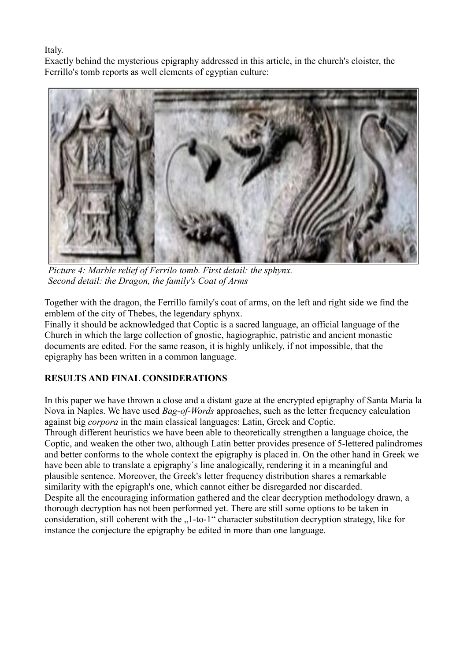Italy.

Exactly behind the mysterious epigraphy addressed in this article, in the church's cloister, the Ferrillo's tomb reports as well elements of egyptian culture:



*Picture 4: Marble relief of Ferrilo tomb. First detail: the sphynx. Second detail: the Dragon, the family's Coat of Arms*

Together with the dragon, the Ferrillo family's coat of arms, on the left and right side we find the emblem of the city of Thebes, the legendary sphynx.

Finally it should be acknowledged that Coptic is a sacred language, an official language of the Church in which the large collection of gnostic, hagiographic, patristic and ancient monastic documents are edited. For the same reason, it is highly unlikely, if not impossible, that the epigraphy has been written in a common language.

# **RESULTS AND FINAL CONSIDERATIONS**

In this paper we have thrown a close and a distant gaze at the encrypted epigraphy of Santa Maria la Nova in Naples. We have used *Bag-of-Words* approaches, such as the letter frequency calculation against big *corpora* in the main classical languages: Latin, Greek and Coptic.

Through different heuristics we have been able to theoretically strengthen a language choice, the Coptic, and weaken the other two, although Latin better provides presence of 5-lettered palindromes and better conforms to the whole context the epigraphy is placed in. On the other hand in Greek we have been able to translate a epigraphy´s line analogically, rendering it in a meaningful and plausible sentence. Moreover, the Greek's letter frequency distribution shares a remarkable similarity with the epigraph's one, which cannot either be disregarded nor discarded. Despite all the encouraging information gathered and the clear decryption methodology drawn, a thorough decryption has not been performed yet. There are still some options to be taken in consideration, still coherent with the "1-to-1" character substitution decryption strategy, like for instance the conjecture the epigraphy be edited in more than one language.